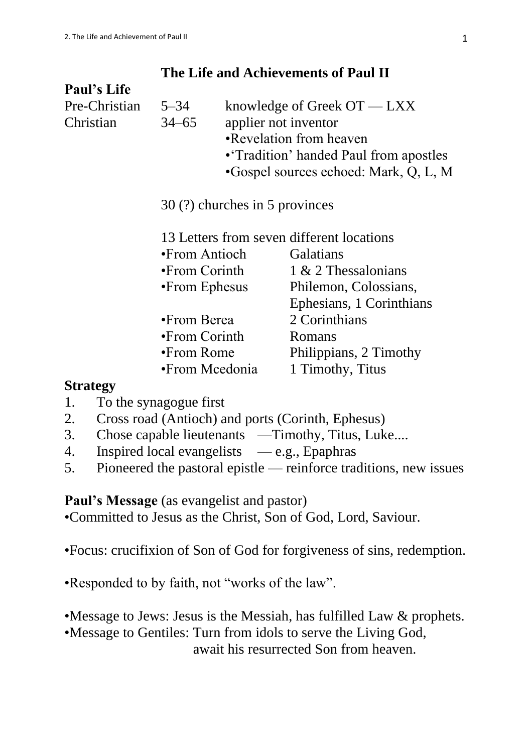# **The Life and Achievements of Paul II**

| <b>Paul's Life</b> |                                           |                                        |                          |  |  |
|--------------------|-------------------------------------------|----------------------------------------|--------------------------|--|--|
| Pre-Christian      | $5 - 34$                                  | knowledge of Greek $OT - LXX$          |                          |  |  |
| Christian          | $34 - 65$                                 |                                        | applier not inventor     |  |  |
|                    |                                           | •Revelation from heaven                |                          |  |  |
|                    |                                           | • Tradition' handed Paul from apostles |                          |  |  |
|                    |                                           | •Gospel sources echoed: Mark, Q, L, M  |                          |  |  |
|                    | 30 (?) churches in 5 provinces            |                                        |                          |  |  |
|                    | 13 Letters from seven different locations |                                        |                          |  |  |
|                    | •From Antioch                             |                                        | Galatians                |  |  |
|                    | $\bullet$ From Corinth                    |                                        | 1 & 2 Thessalonians      |  |  |
|                    | •From Ephesus                             |                                        | Philemon, Colossians,    |  |  |
|                    |                                           |                                        | Ephesians, 1 Corinthians |  |  |
|                    | •From Berea                               |                                        | 2 Corinthians            |  |  |
|                    | $\bullet$ From Corinth                    |                                        | Romans                   |  |  |
|                    | $\bullet$ From Rome                       |                                        | Philippians, 2 Timothy   |  |  |
|                    | •From Mcedonia                            |                                        | 1 Timothy, Titus         |  |  |
| $\sim$ $\sim$      |                                           |                                        |                          |  |  |

## **Strategy**

- 1. To the synagogue first
- 2. Cross road (Antioch) and ports (Corinth, Ephesus)
- 3. Chose capable lieutenants —Timothy, Titus, Luke....
- 4. Inspired local evangelists  $-$ e.g., Epaphras
- 5. Pioneered the pastoral epistle reinforce traditions, new issues

## Paul's Message (as evangelist and pastor)

•Committed to Jesus as the Christ, Son of God, Lord, Saviour.

•Focus: crucifixion of Son of God for forgiveness of sins, redemption.

•Responded to by faith, not "works of the law".

•Message to Jews: Jesus is the Messiah, has fulfilled Law & prophets.

•Message to Gentiles: Turn from idols to serve the Living God,

await his resurrected Son from heaven.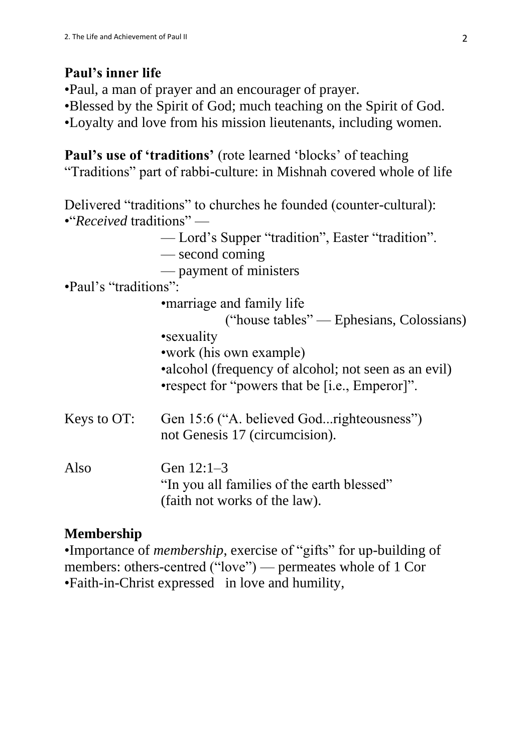# **Paul's inner life**

•Paul, a man of prayer and an encourager of prayer. •Blessed by the Spirit of God; much teaching on the Spirit of God. •Loyalty and love from his mission lieutenants, including women.

**Paul's use of 'traditions'** (rote learned 'blocks' of teaching "Traditions" part of rabbi-culture: in Mishnah covered whole of life

Delivered "traditions" to churches he founded (counter-cultural): •"*Received* traditions" —

— Lord's Supper "tradition", Easter "tradition".

— second coming

— payment of ministers

•Paul's "traditions":

•marriage and family life

("house tables" — Ephesians, Colossians) •sexuality

- •work (his own example)
- •alcohol (frequency of alcohol; not seen as an evil)
- •respect for "powers that be [i.e., Emperor]".
- Keys to OT: Gen 15:6 ("A. believed God...righteousness") not Genesis 17 (circumcision).

Also Gen  $12:1-3$ "In you all families of the earth blessed" (faith not works of the law).

# **Membership**

•Importance of *membership*, exercise of "gifts" for up-building of members: others-centred ("love") — permeates whole of 1 Cor •Faith-in-Christ expressed in love and humility,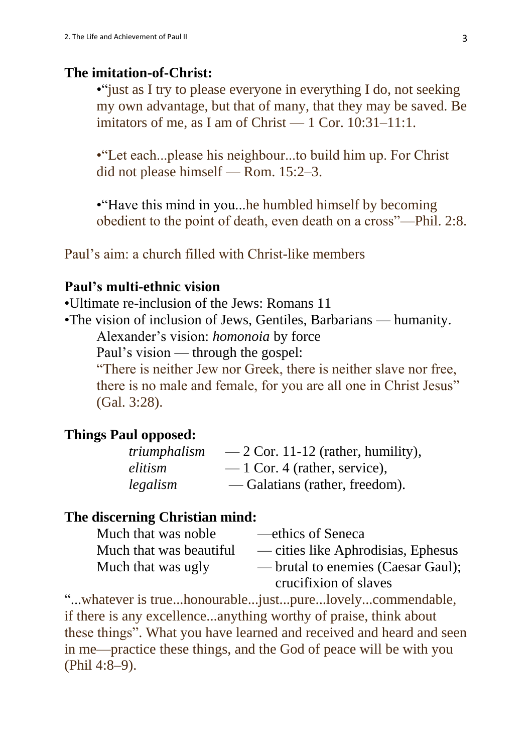#### **The imitation-of-Christ:**

• "just as I try to please everyone in everything I do, not seeking my own advantage, but that of many, that they may be saved. Be imitators of me, as I am of Christ  $-1$  Cor. 10:31-11:1.

•"Let each...please his neighbour...to build him up. For Christ did not please himself — Rom. 15:2–3.

• Have this mind in you...he humbled himself by becoming obedient to the point of death, even death on a cross"—Phil. 2:8.

Paul's aim: a church filled with Christ-like members

#### **Paul's multi-ethnic vision**

•Ultimate re-inclusion of the Jews: Romans 11

•The vision of inclusion of Jews, Gentiles, Barbarians — humanity.

Alexander's vision: *homonoia* by force

Paul's vision — through the gospel:

"There is neither Jew nor Greek, there is neither slave nor free, there is no male and female, for you are all one in Christ Jesus" (Gal. 3:28).

### **Things Paul opposed:**

| triumphalism | $-2$ Cor. 11-12 (rather, humility), |
|--------------|-------------------------------------|
| elitism      | $-1$ Cor. 4 (rather, service),      |
| legalism     | — Galatians (rather, freedom).      |

## **The discerning Christian mind:**

| Much that was noble     | —ethics of Seneca                  |
|-------------------------|------------------------------------|
| Much that was beautiful | — cities like Aphrodisias, Ephesus |
| Much that was ugly      | — brutal to enemies (Caesar Gaul); |
|                         | crucifixion of slaves              |

"...whatever is true...honourable...just...pure...lovely...commendable, if there is any excellence...anything worthy of praise, think about these things". What you have learned and received and heard and seen in me—practice these things, and the God of peace will be with you (Phil 4:8–9).